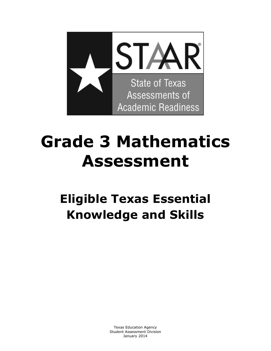

# **Grade 3 Mathematics Assessment**

# **Eligible Texas Essential Knowledge and Skills**

 Texas Education Agency Student Assessment Division January 2014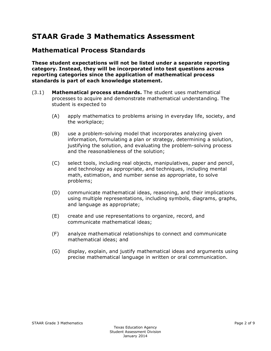# **STAAR Grade 3 Mathematics Assessment**

#### **Mathematical Process Standards**

**These student expectations will not be listed under a separate reporting category. Instead, they will be incorporated into test questions across reporting categories since the application of mathematical process standards is part of each knowledge statement.** 

- (3.1) **Mathematical process standards.** The student uses mathematical processes to acquire and demonstrate mathematical understanding. The student is expected to
	- (A) apply mathematics to problems arising in everyday life, society, and the workplace;
	- (B) use a problem-solving model that incorporates analyzing given information, formulating a plan or strategy, determining a solution, justifying the solution, and evaluating the problem-solving process and the reasonableness of the solution;
	- (C) select tools, including real objects, manipulatives, paper and pencil, and technology as appropriate, and techniques, including mental math, estimation, and number sense as appropriate, to solve problems;
	- (D) communicate mathematical ideas, reasoning, and their implications using multiple representations, including symbols, diagrams, graphs, and language as appropriate;
	- (E) create and use representations to organize, record, and communicate mathematical ideas;
	- (F) analyze mathematical relationships to connect and communicate mathematical ideas; and
	- (G) display, explain, and justify mathematical ideas and arguments using precise mathematical language in written or oral communication.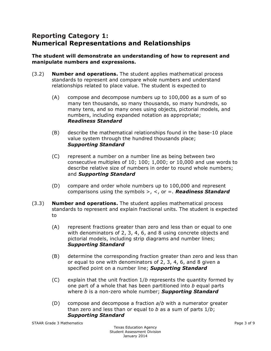# **Reporting Category 1: Numerical Representations and Relationships**

#### **The student will demonstrate an understanding of how to represent and manipulate numbers and expressions.**

- (3.2) **Number and operations.** The student applies mathematical process standards to represent and compare whole numbers and understand relationships related to place value. The student is expected to
	- $(A)$  compose and decompose numbers up to 100,000 as a sum of so many ten thousands, so many thousands, so many hundreds, so many tens, and so many ones using objects, pictorial models, and numbers, including expanded notation as appropriate; *Readiness Standard*
	- (B) describe the mathematical relationships found in the base-10 place value system through the hundred thousands place; *Supporting Standard*
	- (C) represent a number on a number line as being between two consecutive multiples of 10; 100; 1,000; or 10,000 and use words to describe relative size of numbers in order to round whole numbers; and *Supporting Standard*
	- (D) compare and order whole numbers up to 100,000 and represent comparisons using the symbols >, <, or =. *Readiness Standard*
- (3.3) **Number and operations.** The student applies mathematical process standards to represent and explain fractional units. The student is expected to
	- (A) represent fractions greater than zero and less than or equal to one with denominators of 2, 3, 4, 6, and 8 using concrete objects and pictorial models, including strip diagrams and number lines; *Supporting Standard*
	- (B) determine the corresponding fraction greater than zero and less than or equal to one with denominators of 2, 3, 4, 6, and 8 given a specified point on a number line; *Supporting Standard*
	- (C) explain that the unit fraction 1/*b* represents the quantity formed by one part of a whole that has been partitioned into *b* equal parts where *b* is a non-zero whole number; *Supporting Standard*
	- (D) compose and decompose a fraction *a*/*b* with a numerator greater than zero and less than or equal to *b* as a sum of parts 1/*b*; *Supporting Standard*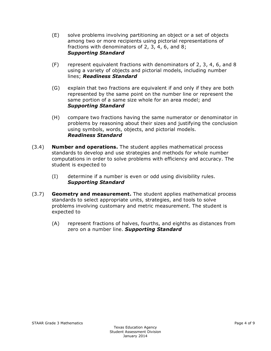- (E) solve problems involving partitioning an object or a set of objects among two or more recipients using pictorial representations of fractions with denominators of 2, 3, 4, 6, and 8; *Supporting Standard*
- (F) represent equivalent fractions with denominators of 2, 3, 4, 6, and 8 using a variety of objects and pictorial models, including number lines; *Readiness Standard*
- (G) explain that two fractions are equivalent if and only if they are both represented by the same point on the number line or represent the same portion of a same size whole for an area model; and *Supporting Standard*
- (H) compare two fractions having the same numerator or denominator in problems by reasoning about their sizes and justifying the conclusion using symbols, words, objects, and pictorial models. *Readiness Standard*
- (3.4) **Number and operations.** The student applies mathematical process standards to develop and use strategies and methods for whole number computations in order to solve problems with efficiency and accuracy. The student is expected to
	- (I) determine if a number is even or odd using divisibility rules. *Supporting Standard*
- (3.7) **Geometry and measurement.** The student applies mathematical process standards to select appropriate units, strategies, and tools to solve problems involving customary and metric measurement. The student is expected to
	- (A) represent fractions of halves, fourths, and eighths as distances from zero on a number line. *Supporting Standard*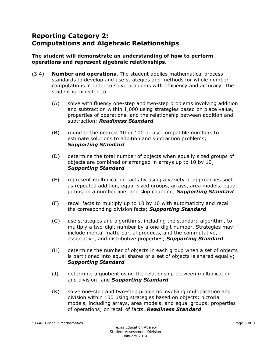# **Reporting Category 2: Computations and Algebraic Relationships**

#### **The student will demonstrate an understanding of how to perform operations and represent algebraic relationships.**

- (3.4) **Number and operations.** The student applies mathematical process standards to develop and use strategies and methods for whole number computations in order to solve problems with efficiency and accuracy. The student is expected to
	- (A) solve with fluency one-step and two-step problems involving addition and subtraction within 1,000 using strategies based on place value, properties of operations, and the relationship between addition and subtraction; *Readiness Standard*
	- (B) round to the nearest 10 or 100 or use compatible numbers to estimate solutions to addition and subtraction problems; *Supporting Standard*
	- (D) determine the total number of objects when equally sized groups of objects are combined or arranged in arrays up to 10 by 10; *Supporting Standard*
	- (E) represent multiplication facts by using a variety of approaches such as repeated addition, equal-sized groups, arrays, area models, equal jumps on a number line, and skip counting; *Supporting Standard*
	- $(F)$  recall facts to multiply up to 10 by 10 with automaticity and recall the corresponding division facts; *Supporting Standard*
	- (G) use strategies and algorithms, including the standard algorithm, to multiply a two-digit number by a one-digit number. Strategies may include mental math, partial products, and the commutative, associative, and distributive properties; *Supporting Standard*
	- (H) determine the number of objects in each group when a set of objects is partitioned into equal shares or a set of objects is shared equally; *Supporting Standard*
	- (J) determine a quotient using the relationship between multiplication and division; and *Supporting Standard*
	- (K) solve one-step and two-step problems involving multiplication and division within 100 using strategies based on objects; pictorial models, including arrays, area models, and equal groups; properties of operations; or recall of facts. *Readiness Standard*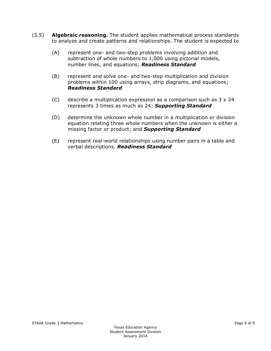- (3.5) **Algebraic reasoning.** The student applies mathematical process standards to analyze and create patterns and relationships. The student is expected to
	- (A) represent one- and two-step problems involving addition and subtraction of whole numbers to 1,000 using pictorial models, number lines, and equations; *Readiness Standard*
	- (B) represent and solve one- and two-step multiplication and division problems within 100 using arrays, strip diagrams, and equations; *Readiness Standard*
	- (C) describe a multiplication expression as a comparison such as  $3 \times 24$ represents 3 times as much as 24; *Supporting Standard*
	- (D) determine the unknown whole number in a multiplication or division equation relating three whole numbers when the unknown is either a missing factor or product; and *Supporting Standard*
	- (E) represent real-world relationships using number pairs in a table and verbal descriptions. *Readiness Standard*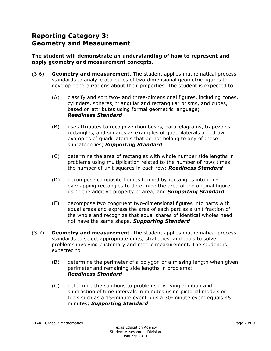# **Reporting Category 3: Geometry and Measurement**

#### **The student will demonstrate an understanding of how to represent and apply geometry and measurement concepts.**

- (3.6) **Geometry and measurement.** The student applies mathematical process standards to analyze attributes of two-dimensional geometric figures to develop generalizations about their properties. The student is expected to
	- (A) classify and sort two- and three-dimensional figures, including cones, cylinders, spheres, triangular and rectangular prisms, and cubes, based on attributes using formal geometric language; *Readiness Standard*
	- (B) use attributes to recognize rhombuses, parallelograms, trapezoids, rectangles, and squares as examples of quadrilaterals and draw examples of quadrilaterals that do not belong to any of these subcategories; *Supporting Standard*
	- (C) determine the area of rectangles with whole number side lengths in problems using multiplication related to the number of rows times the number of unit squares in each row; *Readiness Standard*
	- (D) decompose composite figures formed by rectangles into nonoverlapping rectangles to determine the area of the original figure using the additive property of area; and *Supporting Standard*
	- (E) decompose two congruent two-dimensional figures into parts with equal areas and express the area of each part as a unit fraction of the whole and recognize that equal shares of identical wholes need not have the same shape. *Supporting Standard*
- (3.7) **Geometry and measurement.** The student applies mathematical process standards to select appropriate units, strategies, and tools to solve problems involving customary and metric measurement. The student is expected to
	- (B) determine the perimeter of a polygon or a missing length when given perimeter and remaining side lengths in problems; *Readiness Standard*
	- (C) determine the solutions to problems involving addition and subtraction of time intervals in minutes using pictorial models or tools such as a 15-minute event plus a 30-minute event equals 45 minutes; *Supporting Standard*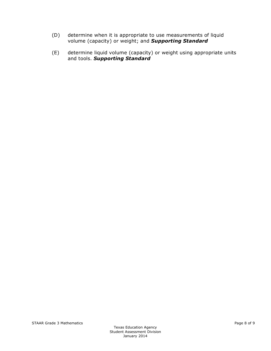- (D) determine when it is appropriate to use measurements of liquid volume (capacity) or weight; and *Supporting Standard*
- (E) determine liquid volume (capacity) or weight using appropriate units and tools. *Supporting Standard*